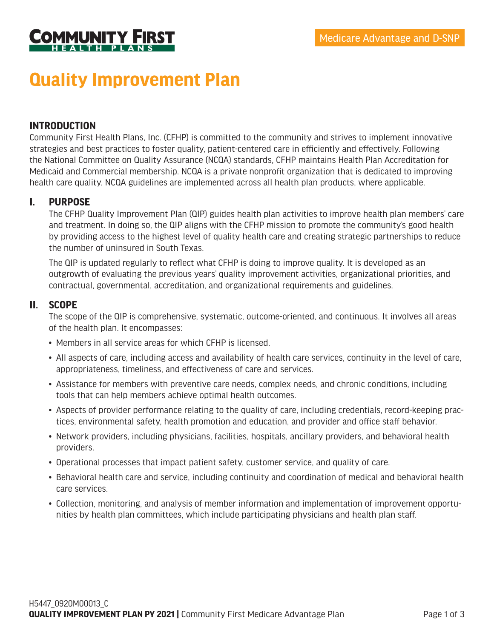

# **Quality Improvement Plan**

## **INTRODUCTION**

Community First Health Plans, Inc. (CFHP) is committed to the community and strives to implement innovative strategies and best practices to foster quality, patient-centered care in efficiently and effectively. Following the National Committee on Quality Assurance (NCQA) standards, CFHP maintains Health Plan Accreditation for Medicaid and Commercial membership. NCQA is a private nonprofit organization that is dedicated to improving health care quality. NCQA guidelines are implemented across all health plan products, where applicable.

### **I. PURPOSE**

The CFHP Quality Improvement Plan (QIP) guides health plan activities to improve health plan members' care and treatment. In doing so, the QIP aligns with the CFHP mission to promote the community's good health by providing access to the highest level of quality health care and creating strategic partnerships to reduce the number of uninsured in South Texas.

The QIP is updated regularly to reflect what CFHP is doing to improve quality. It is developed as an outgrowth of evaluating the previous years' quality improvement activities, organizational priorities, and contractual, governmental, accreditation, and organizational requirements and guidelines.

#### **II. SCOPE**

The scope of the QIP is comprehensive, systematic, outcome-oriented, and continuous. It involves all areas of the health plan. It encompasses:

- Members in all service areas for which CFHP is licensed.
- All aspects of care, including access and availability of health care services, continuity in the level of care, appropriateness, timeliness, and effectiveness of care and services.
- Assistance for members with preventive care needs, complex needs, and chronic conditions, including tools that can help members achieve optimal health outcomes.
- Aspects of provider performance relating to the quality of care, including credentials, record-keeping practices, environmental safety, health promotion and education, and provider and office staff behavior.
- Network providers, including physicians, facilities, hospitals, ancillary providers, and behavioral health providers.
- Operational processes that impact patient safety, customer service, and quality of care.
- Behavioral health care and service, including continuity and coordination of medical and behavioral health care services.
- Collection, monitoring, and analysis of member information and implementation of improvement opportunities by health plan committees, which include participating physicians and health plan staff.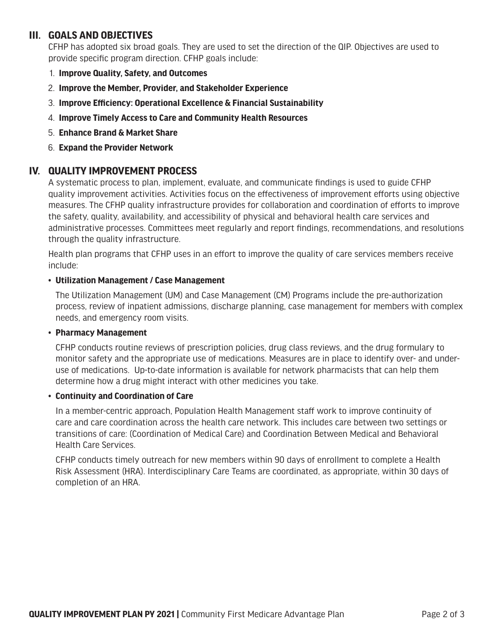# **III. GOALS AND OBJECTIVES**

CFHP has adopted six broad goals. They are used to set the direction of the QIP. Objectives are used to provide specific program direction. CFHP goals include:

- 1. **Improve Quality, Safety, and Outcomes**
- 2. **Improve the Member, Provider, and Stakeholder Experience**
- 3. **Improve Efficiency: Operational Excellence & Financial Sustainability**
- 4. **Improve Timely Access to Care and Community Health Resources**
- 5. **Enhance Brand & Market Share**
- 6. **Expand the Provider Network**

# **IV. QUALITY IMPROVEMENT PROCESS**

A systematic process to plan, implement, evaluate, and communicate findings is used to guide CFHP quality improvement activities. Activities focus on the effectiveness of improvement efforts using objective measures. The CFHP quality infrastructure provides for collaboration and coordination of efforts to improve the safety, quality, availability, and accessibility of physical and behavioral health care services and administrative processes. Committees meet regularly and report findings, recommendations, and resolutions through the quality infrastructure.

Health plan programs that CFHP uses in an effort to improve the quality of care services members receive include:

#### • **Utilization Management / Case Management**

The Utilization Management (UM) and Case Management (CM) Programs include the pre-authorization process, review of inpatient admissions, discharge planning, case management for members with complex needs, and emergency room visits.

#### • **Pharmacy Management**

CFHP conducts routine reviews of prescription policies, drug class reviews, and the drug formulary to monitor safety and the appropriate use of medications. Measures are in place to identify over- and underuse of medications. Up-to-date information is available for network pharmacists that can help them determine how a drug might interact with other medicines you take.

#### • **Continuity and Coordination of Care**

In a member-centric approach, Population Health Management staff work to improve continuity of care and care coordination across the health care network. This includes care between two settings or transitions of care: (Coordination of Medical Care) and Coordination Between Medical and Behavioral Health Care Services.

CFHP conducts timely outreach for new members within 90 days of enrollment to complete a Health Risk Assessment (HRA). Interdisciplinary Care Teams are coordinated, as appropriate, within 30 days of completion of an HRA.